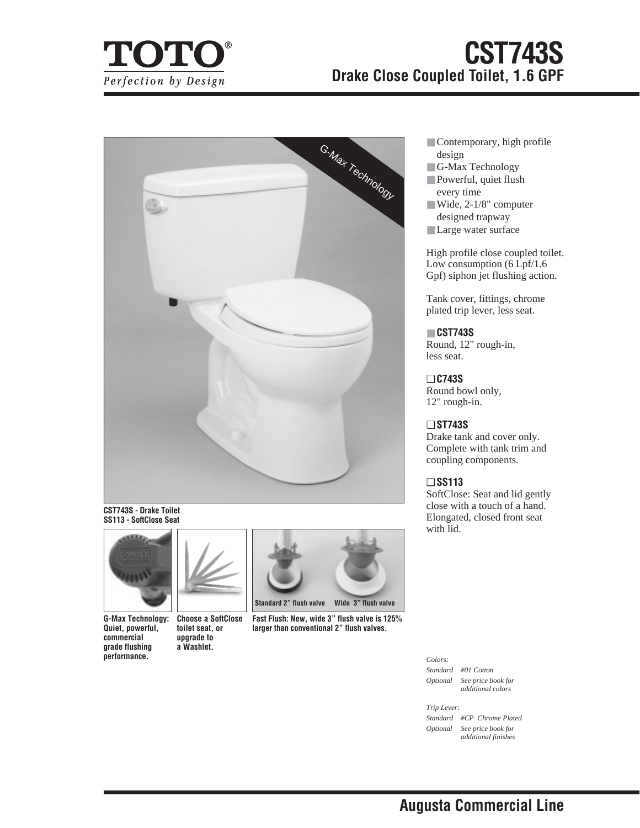

# **CST743S Drake Close Coupled Toilet, 1.6 GPF**



**CST743S - Drake Toilet SS113 - SoftClose Seat**



**G-Max Technology: Quiet, powerful, commercial grade flushing performance.**



**Choose a SoftClose toilet seat, or upgrade to a Washlet.**



**Fast Flush: New, wide 3" flush valve is 125% larger than conventional 2" flush valves.**

- Contemporary, high profile design
- G-Max Technology
- Powerful, quiet flush every time
- Wide, 2-1/8" computer designed trapway
- Large water surface

High profile close coupled toilet. Low consumption (6 Lpf/1.6) Gpf) siphon jet flushing action.

Tank cover, fittings, chrome plated trip lever, less seat.

## ■ **CST743S**

Round, 12" rough-in, less seat.

❏ **C743S** Round bowl only, 12" rough-in.

## ❏ **ST743S**

Drake tank and cover only. Complete with tank trim and coupling components.

## ❏ **SS113**

SoftClose: Seat and lid gently close with a touch of a hand. Elongated, closed front seat with lid.

## *Colors:*

*Standard #01 Cotton Optional See price book for additional colors*

#### *Trip Lever:*

*Standard #CP Chrome Plated Optional See price book for additional finishes*